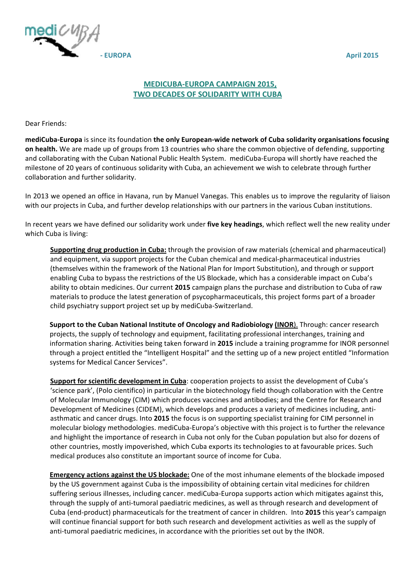

## **MEDICUBA-EUROPA CAMPAIGN 2015, TWO DECADES OF SOLIDARITY WITH CUBA**

Dear Friends:

**mediCuba-Europa** is since its foundation the only European-wide network of Cuba solidarity organisations focusing **on health.** We are made up of groups from 13 countries who share the common objective of defending, supporting and collaborating with the Cuban National Public Health System. mediCuba-Europa will shortly have reached the milestone of 20 years of continuous solidarity with Cuba, an achievement we wish to celebrate through further collaboration and further solidarity.

In 2013 we opened an office in Havana, run by Manuel Vanegas. This enables us to improve the regularity of liaison with our projects in Cuba, and further develop relationships with our partners in the various Cuban institutions.

In recent years we have defined our solidarity work under five key headings, which reflect well the new reality under which Cuba is living:

**Supporting drug production in Cuba:** through the provision of raw materials (chemical and pharmaceutical) and equipment, via support projects for the Cuban chemical and medical-pharmaceutical industries (themselves within the framework of the National Plan for Import Substitution), and through or support enabling Cuba to bypass the restrictions of the US Blockade, which has a considerable impact on Cuba's ability to obtain medicines. Our current 2015 campaign plans the purchase and distribution to Cuba of raw materials to produce the latest generation of psycopharmaceuticals, this project forms part of a broader child psychiatry support project set up by mediCuba-Switzerland.

**Support to the Cuban National Institute of Oncology and Radiobiology (INOR)**. Through: cancer research projects, the supply of technology and equipment, facilitating professional interchanges, training and information sharing. Activities being taken forward in 2015 include a training programme for INOR personnel through a project entitled the "Intelligent Hospital" and the setting up of a new project entitled "Information systems for Medical Cancer Services".

**Support for scientific development in Cuba**: cooperation projects to assist the development of Cuba's 'science park', (Polo cientifico) in particular in the biotechnology field though collaboration with the Centre of Molecular Immunology (CIM) which produces vaccines and antibodies; and the Centre for Research and Development of Medicines (CIDEM), which develops and produces a variety of medicines including, antiasthmatic and cancer drugs. Into 2015 the focus is on supporting specialist training for CIM personnel in molecular biology methodologies. mediCuba-Europa's objective with this project is to further the relevance and highlight the importance of research in Cuba not only for the Cuban population but also for dozens of other countries, mostly impoverished, which Cuba exports its technologies to at favourable prices. Such medical produces also constitute an important source of income for Cuba.

**Emergency actions against the US blockade:** One of the most inhumane elements of the blockade imposed by the US government against Cuba is the impossibility of obtaining certain vital medicines for children suffering serious illnesses, including cancer, mediCuba-Europa supports action which mitigates against this, through the supply of anti-tumoral paediatric medicines, as well as through research and development of Cuba (end-product) pharmaceuticals for the treatment of cancer in children. Into 2015 this year's campaign will continue financial support for both such research and development activities as well as the supply of anti-tumoral paediatric medicines, in accordance with the priorities set out by the INOR.